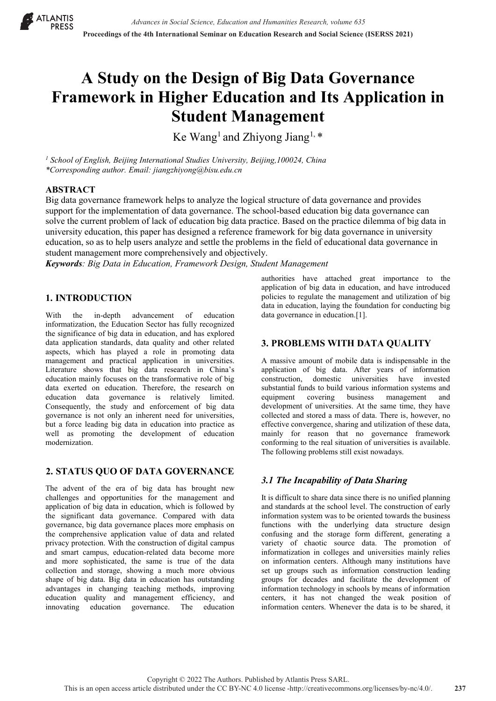

# **A Study on the Design of Big Data Governance Framework in Higher Education and Its Application in Student Management**

Ke Wang<sup>1</sup> and Zhiyong Jiang<sup>1, \*</sup>

*<sup>1</sup> School of English, Beijing International Studies University, Beijing,100024, China \*Corresponding author. Email: jiangzhiyong@bisu.edu.cn*

## **ABSTRACT**

Big data governance framework helps to analyze the logical structure of data governance and provides support for the implementation of data governance. The school-based education big data governance can solve the current problem of lack of education big data practice. Based on the practice dilemma of big data in university education, this paper has designed a reference framework for big data governance in university education, so as to help users analyze and settle the problems in the field of educational data governance in student management more comprehensively and objectively.

*Keywords: Big Data in Education, Framework Design, Student Management*

# **1. INTRODUCTION**

With the in-depth advancement of education informatization, the Education Sector has fully recognized the significance of big data in education, and has explored data application standards, data quality and other related aspects, which has played a role in promoting data management and practical application in universities. Literature shows that big data research in China's education mainly focuses on the transformative role of big data exerted on education. Therefore, the research on education data governance is relatively limited. Consequently, the study and enforcement of big data governance is not only an inherent need for universities, but a force leading big data in education into practice as well as promoting the development of education modernization.

# **2. STATUS QUO OF DATA GOVERNANCE**

The advent of the era of big data has brought new challenges and opportunities for the management and application of big data in education, which is followed by the significant data governance. Compared with data governance, big data governance places more emphasis on the comprehensive application value of data and related privacy protection. With the construction of digital campus and smart campus, education-related data become more and more sophisticated, the same is true of the data collection and storage, showing a much more obvious shape of big data. Big data in education has outstanding advantages in changing teaching methods, improving education quality and management efficiency, and innovating education governance. The education

authorities have attached great importance to the application of big data in education, and have introduced policies to regulate the management and utilization of big data in education, laying the foundation for conducting big data governance in education.[1].

## **3. PROBLEMS WITH DATA QUALITY**

A massive amount of mobile data is indispensable in the application of big data. After years of information construction, domestic universities have invested substantial funds to build various information systems and equipment covering business management and development of universities. At the same time, they have collected and stored a mass of data. There is, however, no effective convergence, sharing and utilization of these data, mainly for reason that no governance framework conforming to the real situation of universities is available. The following problems still exist nowadays.

# *3.1 The Incapability of Data Sharing*

It is difficult to share data since there is no unified planning and standards at the school level. The construction of early information system was to be oriented towards the business functions with the underlying data structure design confusing and the storage form different, generating a variety of chaotic source data. The promotion of informatization in colleges and universities mainly relies on information centers. Although many institutions have set up groups such as information construction leading groups for decades and facilitate the development of information technology in schools by means of information centers, it has not changed the weak position of information centers. Whenever the data is to be shared, it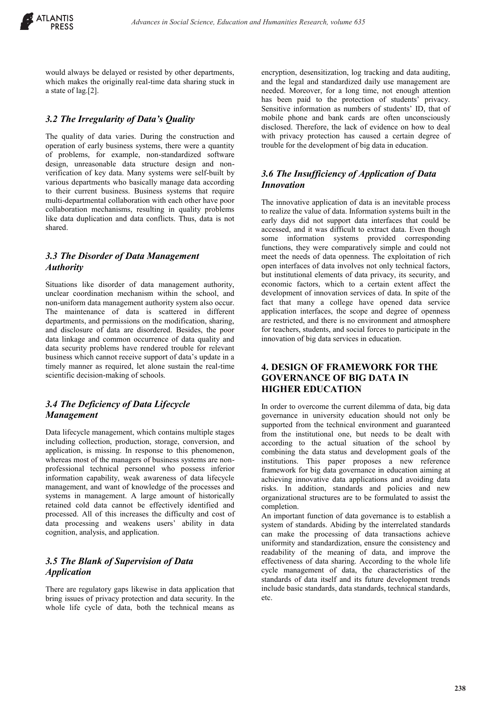would always be delayed or resisted by other departments, which makes the originally real-time data sharing stuck in a state of lag.[2].

## *3.2 The Irregularity of Data's Quality*

The quality of data varies. During the construction and operation of early business systems, there were a quantity of problems, for example, non-standardized software design, unreasonable data structure design and nonverification of key data. Many systems were self-built by various departments who basically manage data according to their current business. Business systems that require multi-departmental collaboration with each other have poor collaboration mechanisms, resulting in quality problems like data duplication and data conflicts. Thus, data is not shared.

## *3.3 The Disorder of Data Management Authority*

Situations like disorder of data management authority, unclear coordination mechanism within the school, and non-uniform data management authority system also occur. The maintenance of data is scattered in different departments, and permissions on the modification, sharing, and disclosure of data are disordered. Besides, the poor data linkage and common occurrence of data quality and data security problems have rendered trouble for relevant business which cannot receive support of data's update in a timely manner as required, let alone sustain the real-time scientific decision-making of schools.

# *3.4 The Deficiency of Data Lifecycle Management*

Data lifecycle management, which contains multiple stages including collection, production, storage, conversion, and application, is missing. In response to this phenomenon, whereas most of the managers of business systems are nonprofessional technical personnel who possess inferior information capability, weak awareness of data lifecycle management, and want of knowledge of the processes and systems in management. A large amount of historically retained cold data cannot be effectively identified and processed. All of this increases the difficulty and cost of data processing and weakens users' ability in data cognition, analysis, and application.

## *3.5 The Blank of Supervision of Data Application*

There are regulatory gaps likewise in data application that bring issues of privacy protection and data security. In the whole life cycle of data, both the technical means as encryption, desensitization, log tracking and data auditing, and the legal and standardized daily use management are needed. Moreover, for a long time, not enough attention has been paid to the protection of students' privacy. Sensitive information as numbers of students' ID, that of mobile phone and bank cards are often unconsciously disclosed. Therefore, the lack of evidence on how to deal with privacy protection has caused a certain degree of trouble for the development of big data in education.

# *3.6 The Insufficiency of Application of Data Innovation*

The innovative application of data is an inevitable process to realize the value of data. Information systems built in the early days did not support data interfaces that could be accessed, and it was difficult to extract data. Even though some information systems provided corresponding functions, they were comparatively simple and could not meet the needs of data openness. The exploitation of rich open interfaces of data involves not only technical factors, but institutional elements of data privacy, its security, and economic factors, which to a certain extent affect the development of innovation services of data. In spite of the fact that many a college have opened data service application interfaces, the scope and degree of openness are restricted, and there is no environment and atmosphere for teachers, students, and social forces to participate in the innovation of big data services in education.

## **4. DESIGN OF FRAMEWORK FOR THE GOVERNANCE OF BIG DATA IN HIGHER EDUCATION**

In order to overcome the current dilemma of data, big data governance in university education should not only be supported from the technical environment and guaranteed from the institutional one, but needs to be dealt with according to the actual situation of the school by combining the data status and development goals of the institutions. This paper proposes a new reference framework for big data governance in education aiming at achieving innovative data applications and avoiding data risks. In addition, standards and policies and new organizational structures are to be formulated to assist the completion.

An important function of data governance is to establish a system of standards. Abiding by the interrelated standards can make the processing of data transactions achieve uniformity and standardization, ensure the consistency and readability of the meaning of data, and improve the effectiveness of data sharing. According to the whole life cycle management of data, the characteristics of the standards of data itself and its future development trends include basic standards, data standards, technical standards, etc.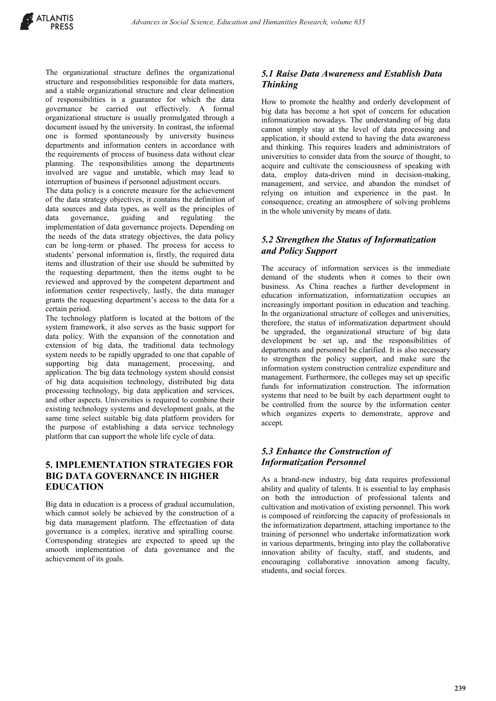The organizational structure defines the organizational structure and responsibilities responsible for data matters, and a stable organizational structure and clear delineation of responsibilities is a guarantee for which the data governance be carried out effectively. A formal organizational structure is usually promulgated through a document issued by the university. In contrast, the informal one is formed spontaneously by university business departments and information centers in accordance with the requirements of process of business data without clear planning. The responsibilities among the departments involved are vague and unstable, which may lead to interruption of business if personnel adjustment occurs.

The data policy is a concrete measure for the achievement of the data strategy objectives, it contains the definition of data sources and data types, as well as the principles of data governance, guiding and regulating the implementation of data governance projects. Depending on the needs of the data strategy objectives, the data policy can be long-term or phased. The process for access to students' personal information is, firstly, the required data items and illustration of their use should be submitted by the requesting department, then the items ought to be reviewed and approved by the competent department and information center respectively, lastly, the data manager grants the requesting department's access to the data for a certain period.

The technology platform is located at the bottom of the system framework, it also serves as the basic support for data policy. With the expansion of the connotation and extension of big data, the traditional data technology system needs to be rapidly upgraded to one that capable of supporting big data management, processing, and application. The big data technology system should consist of big data acquisition technology, distributed big data processing technology, big data application and services, and other aspects. Universities is required to combine their existing technology systems and development goals, at the same time select suitable big data platform providers for the purpose of establishing a data service technology platform that can support the whole life cycle of data.

#### **5. IMPLEMENTATION STRATEGIES FOR BIG DATA GOVERNANCE IN HIGHER EDUCATION**

Big data in education is a process of gradual accumulation, which cannot solely be achieved by the construction of a big data management platform. The effectuation of data governance is a complex, iterative and spiralling course. Corresponding strategies are expected to speed up the smooth implementation of data governance and the achievement of its goals.

# *5.1 Raise Data Awareness and Establish Data Thinking*

How to promote the healthy and orderly development of big data has become a hot spot of concern for education informatization nowadays. The understanding of big data cannot simply stay at the level of data processing and application, it should extend to having the data awareness and thinking. This requires leaders and administrators of universities to consider data from the source of thought, to acquire and cultivate the consciousness of speaking with data, employ data-driven mind in decision-making, management, and service, and abandon the mindset of relying on intuition and experience in the past. In consequence, creating an atmosphere of solving problems in the whole university by means of data.

# *5.2 Strengthen the Status of Informatization and Policy Support*

The accuracy of information services is the immediate demand of the students when it comes to their own business. As China reaches a further development in education informatization, informatization occupies an increasingly important position in education and teaching. In the organizational structure of colleges and universities, therefore, the status of informatization department should be upgraded, the organizational structure of big data development be set up, and the responsibilities of departments and personnel be clarified. It is also necessary to strengthen the policy support, and make sure the information system construction centralize expenditure and management. Furthermore, the colleges may set up specific funds for informatization construction. The information systems that need to be built by each department ought to be controlled from the source by the information center which organizes experts to demonstrate, approve and accept.

# *5.3 Enhance the Construction of Informatization Personnel*

As a brand-new industry, big data requires professional ability and quality of talents. It is essential to lay emphasis on both the introduction of professional talents and cultivation and motivation of existing personnel. This work is composed of reinforcing the capacity of professionals in the informatization department, attaching importance to the training of personnel who undertake informatization work in various departments, bringing into play the collaborative innovation ability of faculty, staff, and students, and encouraging collaborative innovation among faculty, students, and social forces.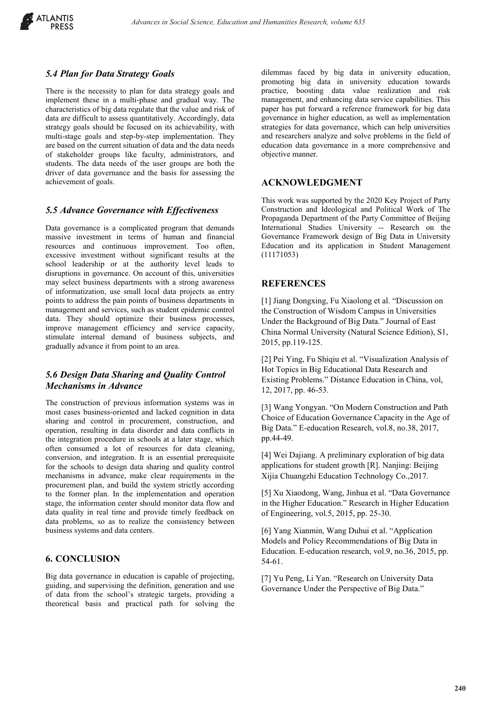

#### *5.4 Plan for Data Strategy Goals*

There is the necessity to plan for data strategy goals and implement these in a multi-phase and gradual way. The characteristics of big data regulate that the value and risk of data are difficult to assess quantitatively. Accordingly, data strategy goals should be focused on its achievability, with multi-stage goals and step-by-step implementation. They are based on the current situation of data and the data needs of stakeholder groups like faculty, administrators, and students. The data needs of the user groups are both the driver of data governance and the basis for assessing the achievement of goals.

#### *5.5 Advance Governance with Effectiveness*

Data governance is a complicated program that demands massive investment in terms of human and financial resources and continuous improvement. Too often, excessive investment without significant results at the school leadership or at the authority level leads to disruptions in governance. On account of this, universities may select business departments with a strong awareness of informatization, use small local data projects as entry points to address the pain points of business departments in management and services, such as student epidemic control data. They should optimize their business processes, improve management efficiency and service capacity, stimulate internal demand of business subjects, and gradually advance it from point to an area.

#### *5.6 Design Data Sharing and Quality Control Mechanisms in Advance*

The construction of previous information systems was in most cases business-oriented and lacked cognition in data sharing and control in procurement, construction, and operation, resulting in data disorder and data conflicts in the integration procedure in schools at a later stage, which often consumed a lot of resources for data cleaning, conversion, and integration. It is an essential prerequisite for the schools to design data sharing and quality control mechanisms in advance, make clear requirements in the procurement plan, and build the system strictly according to the former plan. In the implementation and operation stage, the information center should monitor data flow and data quality in real time and provide timely feedback on data problems, so as to realize the consistency between business systems and data centers.

#### **6. CONCLUSION**

Big data governance in education is capable of projecting, guiding, and supervising the definition, generation and use of data from the school's strategic targets, providing a theoretical basis and practical path for solving the dilemmas faced by big data in university education, promoting big data in university education towards practice, boosting data value realization and risk management, and enhancing data service capabilities. This paper has put forward a reference framework for big data governance in higher education, as well as implementation strategies for data governance, which can help universities and researchers analyze and solve problems in the field of education data governance in a more comprehensive and objective manner.

#### **ACKNOWLEDGMENT**

This work was supported by the 2020 Key Project of Party Construction and Ideological and Political Work of The Propaganda Department of the Party Committee of Beijing International Studies University -- Research on the Governance Framework design of Big Data in University Education and its application in Student Management (11171053)

#### **REFERENCES**

[1] Jiang Dongxing, Fu Xiaolong et al. "Discussion on the Construction of Wisdom Campus in Universities Under the Background of Big Data." Journal of East China Normal University (Natural Science Edition), S1, 2015, pp.119-125.

[2] Pei Ying, Fu Shiqiu et al. "Visualization Analysis of Hot Topics in Big Educational Data Research and Existing Problems." Distance Education in China, vol, 12, 2017, pp. 46-53.

[3] Wang Yongyan. "On Modern Construction and Path Choice of Education Governance Capacity in the Age of Big Data." E-education Research, vol.8, no.38, 2017, pp.44-49.

[4] Wei Dajiang. A preliminary exploration of big data applications for student growth [R]. Nanjing: Beijing Xijia Chuangzhi Education Technology Co.,2017.

[5] Xu Xiaodong, Wang, Jinhua et al. "Data Governance in the Higher Education." Research in Higher Education of Engineering, vol.5, 2015, pp. 25-30.

[6] Yang Xianmin, Wang Duhui et al. "Application Models and Policy Recommendations of Big Data in Education. E-education research, vol.9, no.36, 2015, pp. 54-61.

[7] Yu Peng, Li Yan. "Research on University Data Governance Under the Perspective of Big Data."